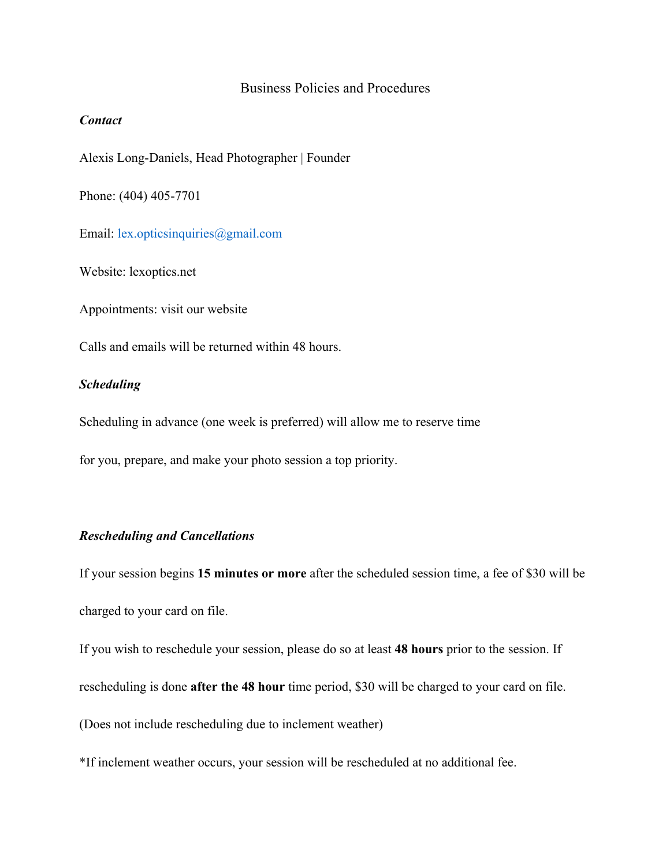### Business Policies and Procedures

## *Contact*

Alexis Long-Daniels, Head Photographer | Founder

Phone: (404) 405-7701

Email: lex.opticsinquiries@gmail.com

Website: lexoptics.net

Appointments: visit our website

Calls and emails will be returned within 48 hours.

### *Scheduling*

Scheduling in advance (one week is preferred) will allow me to reserve time

for you, prepare, and make your photo session a top priority.

# *Rescheduling and Cancellations*

If your session begins **15 minutes or more** after the scheduled session time, a fee of \$30 will be charged to your card on file.

If you wish to reschedule your session, please do so at least **48 hours** prior to the session. If

rescheduling is done **after the 48 hour** time period, \$30 will be charged to your card on file.

(Does not include rescheduling due to inclement weather)

\*If inclement weather occurs, your session will be rescheduled at no additional fee.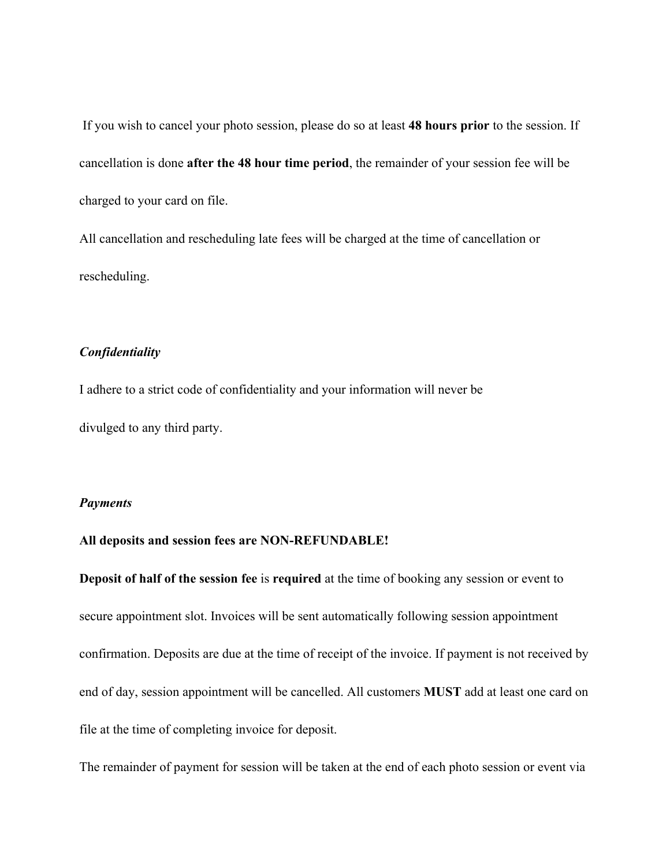If you wish to cancel your photo session, please do so at least **48 hours prior** to the session. If cancellation is done **after the 48 hour time period**, the remainder of your session fee will be charged to your card on file.

All cancellation and rescheduling late fees will be charged at the time of cancellation or rescheduling.

## *Confidentiality*

I adhere to a strict code of confidentiality and your information will never be divulged to any third party.

#### *Payments*

#### **All deposits and session fees are NON-REFUNDABLE!**

**Deposit of half of the session fee** is **required** at the time of booking any session or event to secure appointment slot. Invoices will be sent automatically following session appointment confirmation. Deposits are due at the time of receipt of the invoice. If payment is not received by end of day, session appointment will be cancelled. All customers **MUST** add at least one card on file at the time of completing invoice for deposit.

The remainder of payment for session will be taken at the end of each photo session or event via